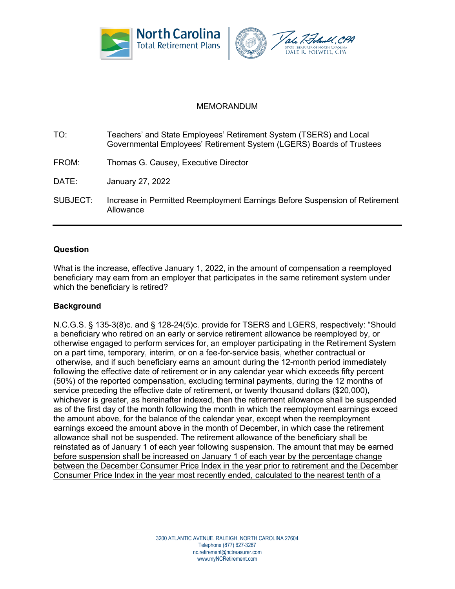



## MEMORANDUM

| TO:      | Teachers' and State Employees' Retirement System (TSERS) and Local<br>Governmental Employees' Retirement System (LGERS) Boards of Trustees |
|----------|--------------------------------------------------------------------------------------------------------------------------------------------|
| FROM:    | Thomas G. Causey, Executive Director                                                                                                       |
| DATE:    | January 27, 2022                                                                                                                           |
| SUBJECT: | Increase in Permitted Reemployment Earnings Before Suspension of Retirement<br>Allowance                                                   |

## **Question**

What is the increase, effective January 1, 2022, in the amount of compensation a reemployed beneficiary may earn from an employer that participates in the same retirement system under which the beneficiary is retired?

## **Background**

N.C.G.S. § 135-3(8)c. and § 128-24(5)c. provide for TSERS and LGERS, respectively: "Should a beneficiary who retired on an early or service retirement allowance be reemployed by, or otherwise engaged to perform services for, an employer participating in the Retirement System on a part time, temporary, interim, or on a fee-for-service basis, whether contractual or otherwise, and if such beneficiary earns an amount during the 12-month period immediately following the effective date of retirement or in any calendar year which exceeds fifty percent (50%) of the reported compensation, excluding terminal payments, during the 12 months of service preceding the effective date of retirement, or twenty thousand dollars (\$20,000), whichever is greater, as hereinafter indexed, then the retirement allowance shall be suspended as of the first day of the month following the month in which the reemployment earnings exceed the amount above, for the balance of the calendar year, except when the reemployment earnings exceed the amount above in the month of December, in which case the retirement allowance shall not be suspended. The retirement allowance of the beneficiary shall be reinstated as of January 1 of each year following suspension. The amount that may be earned before suspension shall be increased on January 1 of each year by the percentage change between the December Consumer Price Index in the year prior to retirement and the December Consumer Price Index in the year most recently ended, calculated to the nearest tenth of a